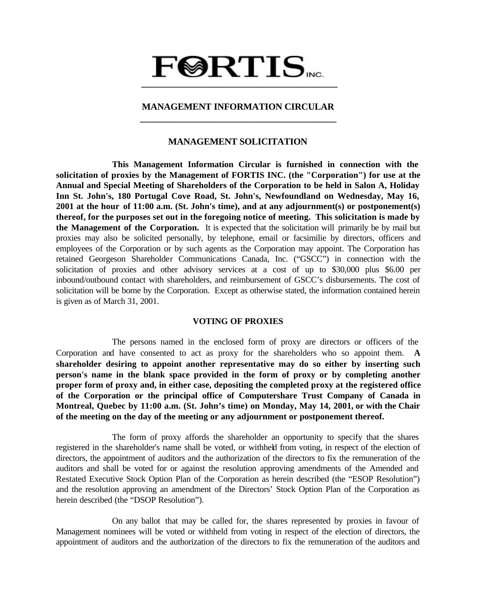# $\textbf{F@RTIS}_{\text{vec}}$  **\_\_\_\_\_\_\_\_\_\_\_\_\_\_\_\_\_\_\_\_\_\_\_\_\_\_\_\_\_\_\_\_\_\_\_\_\_\_\_\_\_\_**

# **MANAGEMENT INFORMATION CIRCULAR \_\_\_\_\_\_\_\_\_\_\_\_\_\_\_\_\_\_\_\_\_\_\_\_\_\_\_\_\_\_\_\_\_\_\_\_\_\_\_\_\_\_**

# **MANAGEMENT SOLICITATION**

**This Management Information Circular is furnished in connection with the solicitation of proxies by the Management of FORTIS INC. (the "Corporation") for use at the Annual and Special Meeting of Shareholders of the Corporation to be held in Salon A, Holiday Inn St. John's, 180 Portugal Cove Road, St. John's, Newfoundland on Wednesday, May 16, 2001 at the hour of 11:00 a.m. (St. John's time), and at any adjournment(s) or postponement(s) thereof, for the purposes set out in the foregoing notice of meeting. This solicitation is made by the Management of the Corporation.** It is expected that the solicitation will primarily be by mail but proxies may also be solicited personally, by telephone, email or facsimilie by directors, officers and employees of the Corporation or by such agents as the Corporation may appoint. The Corporation has retained Georgeson Shareholder Communications Canada, Inc. ("GSCC") in connection with the solicitation of proxies and other advisory services at a cost of up to \$30,000 plus \$6.00 per inbound/outbound contact with shareholders, and reimbursement of GSCC's disbursements. The cost of solicitation will be borne by the Corporation. Except as otherwise stated, the information contained herein is given as of March 31, 2001.

## **VOTING OF PROXIES**

The persons named in the enclosed form of proxy are directors or officers of the Corporation and have consented to act as proxy for the shareholders who so appoint them. **A shareholder desiring to appoint another representative may do so either by inserting such person's name in the blank space provided in the form of proxy or by completing another proper form of proxy and, in either case, depositing the completed proxy at the registered office of the Corporation or the principal office of Computershare Trust Company of Canada in Montreal, Quebec by 11:00 a.m. (St. John's time) on Monday, May 14, 2001, or with the Chair of the meeting on the day of the meeting or any adjournment or postponement thereof.**

The form of proxy affords the shareholder an opportunity to specify that the shares registered in the shareholder's name shall be voted, or withheld from voting, in respect of the election of directors, the appointment of auditors and the authorization of the directors to fix the remuneration of the auditors and shall be voted for or against the resolution approving amendments of the Amended and Restated Executive Stock Option Plan of the Corporation as herein described (the "ESOP Resolution") and the resolution approving an amendment of the Directors' Stock Option Plan of the Corporation as herein described (the "DSOP Resolution").

On any ballot that may be called for, the shares represented by proxies in favour of Management nominees will be voted or withheld from voting in respect of the election of directors, the appointment of auditors and the authorization of the directors to fix the remuneration of the auditors and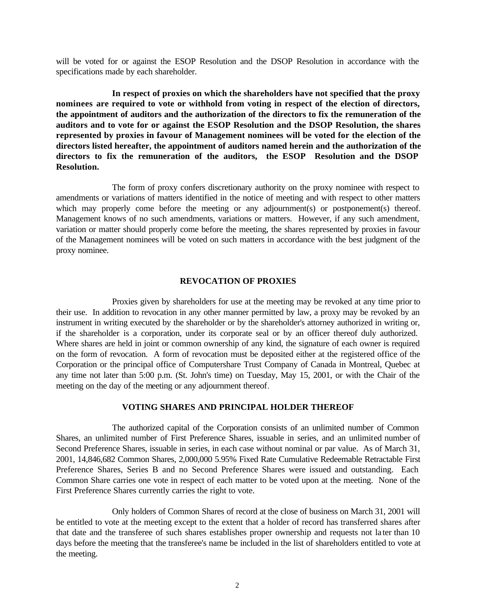will be voted for or against the ESOP Resolution and the DSOP Resolution in accordance with the specifications made by each shareholder.

**In respect of proxies on which the shareholders have not specified that the proxy nominees are required to vote or withhold from voting in respect of the election of directors, the appointment of auditors and the authorization of the directors to fix the remuneration of the auditors and to vote for or against the ESOP Resolution and the DSOP Resolution, the shares represented by proxies in favour of Management nominees will be voted for the election of the directors listed hereafter, the appointment of auditors named herein and the authorization of the directors to fix the remuneration of the auditors, the ESOP Resolution and the DSOP Resolution.**

The form of proxy confers discretionary authority on the proxy nominee with respect to amendments or variations of matters identified in the notice of meeting and with respect to other matters which may properly come before the meeting or any adjournment(s) or postponement(s) thereof. Management knows of no such amendments, variations or matters. However, if any such amendment, variation or matter should properly come before the meeting, the shares represented by proxies in favour of the Management nominees will be voted on such matters in accordance with the best judgment of the proxy nominee.

#### **REVOCATION OF PROXIES**

Proxies given by shareholders for use at the meeting may be revoked at any time prior to their use. In addition to revocation in any other manner permitted by law, a proxy may be revoked by an instrument in writing executed by the shareholder or by the shareholder's attorney authorized in writing or, if the shareholder is a corporation, under its corporate seal or by an officer thereof duly authorized. Where shares are held in joint or common ownership of any kind, the signature of each owner is required on the form of revocation. A form of revocation must be deposited either at the registered office of the Corporation or the principal office of Computershare Trust Company of Canada in Montreal, Quebec at any time not later than 5:00 p.m. (St. John's time) on Tuesday, May 15, 2001, or with the Chair of the meeting on the day of the meeting or any adjournment thereof.

### **VOTING SHARES AND PRINCIPAL HOLDER THEREOF**

The authorized capital of the Corporation consists of an unlimited number of Common Shares, an unlimited number of First Preference Shares, issuable in series, and an unlimited number of Second Preference Shares, issuable in series, in each case without nominal or par value. As of March 31, 2001, 14,846,682 Common Shares, 2,000,000 5.95% Fixed Rate Cumulative Redeemable Retractable First Preference Shares, Series B and no Second Preference Shares were issued and outstanding. Each Common Share carries one vote in respect of each matter to be voted upon at the meeting. None of the First Preference Shares currently carries the right to vote.

Only holders of Common Shares of record at the close of business on March 31, 2001 will be entitled to vote at the meeting except to the extent that a holder of record has transferred shares after that date and the transferee of such shares establishes proper ownership and requests not la ter than 10 days before the meeting that the transferee's name be included in the list of shareholders entitled to vote at the meeting.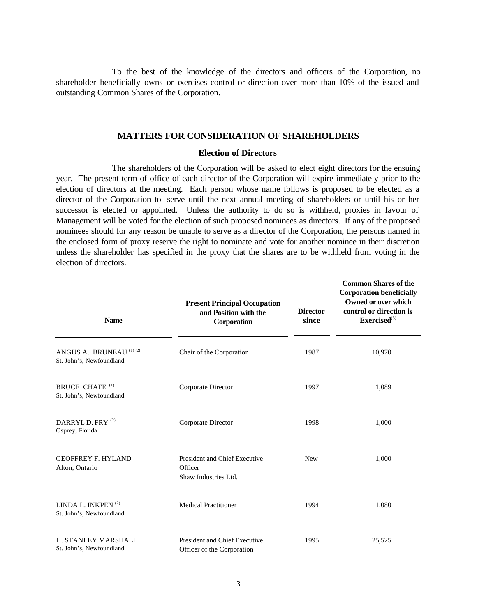To the best of the knowledge of the directors and officers of the Corporation, no shareholder beneficially owns or exercises control or direction over more than 10% of the issued and outstanding Common Shares of the Corporation.

#### **MATTERS FOR CONSIDERATION OF SHAREHOLDERS**

#### **Election of Directors**

The shareholders of the Corporation will be asked to elect eight directors for the ensuing year. The present term of office of each director of the Corporation will expire immediately prior to the election of directors at the meeting. Each person whose name follows is proposed to be elected as a director of the Corporation to serve until the next annual meeting of shareholders or until his or her successor is elected or appointed. Unless the authority to do so is withheld, proxies in favour of Management will be voted for the election of such proposed nominees as directors. If any of the proposed nominees should for any reason be unable to serve as a director of the Corporation, the persons named in the enclosed form of proxy reserve the right to nominate and vote for another nominee in their discretion unless the shareholder has specified in the proxy that the shares are to be withheld from voting in the election of directors.

| <b>Name</b>                                                | <b>Present Principal Occupation</b><br>and Position with the<br>Corporation | <b>Director</b><br>since | <b>Common Shares of the</b><br><b>Corporation beneficially</b><br>Owned or over which<br>control or direction is<br>Exercised $^{(3)}$ |
|------------------------------------------------------------|-----------------------------------------------------------------------------|--------------------------|----------------------------------------------------------------------------------------------------------------------------------------|
| ANGUS A. BRUNEAU (1) (2)<br>St. John's, Newfoundland       | Chair of the Corporation                                                    | 1987                     | 10,970                                                                                                                                 |
| BRUCE CHAFE <sup>(1)</sup><br>St. John's, Newfoundland     | Corporate Director                                                          | 1997                     | 1,089                                                                                                                                  |
| DARRYL D. FRY <sup>(2)</sup><br>Osprey, Florida            | Corporate Director                                                          | 1998                     | 1,000                                                                                                                                  |
| <b>GEOFFREY F. HYLAND</b><br>Alton, Ontario                | President and Chief Executive<br>Officer<br>Shaw Industries Ltd.            | <b>New</b>               | 1,000                                                                                                                                  |
| LINDA L. INKPEN <sup>(2)</sup><br>St. John's, Newfoundland | <b>Medical Practitioner</b>                                                 | 1994                     | 1,080                                                                                                                                  |
| H. STANLEY MARSHALL<br>St. John's, Newfoundland            | President and Chief Executive<br>Officer of the Corporation                 | 1995                     | 25,525                                                                                                                                 |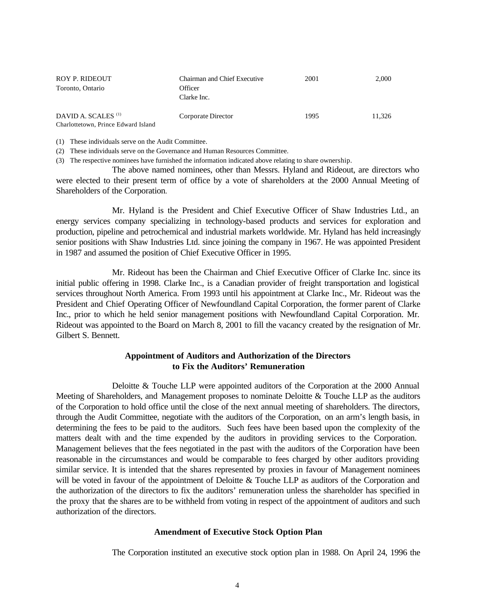| ROY P. RIDEOUT<br>Toronto, Ontario                                    | <b>Chairman and Chief Executive</b><br>Officer<br>Clarke Inc. | 2001 | 2,000  |
|-----------------------------------------------------------------------|---------------------------------------------------------------|------|--------|
| DAVID A. SCALES <sup>(1)</sup><br>Charlottetown, Prince Edward Island | Corporate Director                                            | 1995 | 11.326 |

(1) These individuals serve on the Audit Committee.

(2) These individuals serve on the Governance and Human Resources Committee.

(3) The respective nominees have furnished the information indicated above relating to share ownership.

The above named nominees, other than Messrs. Hyland and Rideout, are directors who were elected to their present term of office by a vote of shareholders at the 2000 Annual Meeting of Shareholders of the Corporation.

Mr. Hyland is the President and Chief Executive Officer of Shaw Industries Ltd., an energy services company specializing in technology-based products and services for exploration and production, pipeline and petrochemical and industrial markets worldwide. Mr. Hyland has held increasingly senior positions with Shaw Industries Ltd. since joining the company in 1967. He was appointed President in 1987 and assumed the position of Chief Executive Officer in 1995.

Mr. Rideout has been the Chairman and Chief Executive Officer of Clarke Inc. since its initial public offering in 1998. Clarke Inc., is a Canadian provider of freight transportation and logistical services throughout North America. From 1993 until his appointment at Clarke Inc., Mr. Rideout was the President and Chief Operating Officer of Newfoundland Capital Corporation, the former parent of Clarke Inc., prior to which he held senior management positions with Newfoundland Capital Corporation. Mr. Rideout was appointed to the Board on March 8, 2001 to fill the vacancy created by the resignation of Mr. Gilbert S. Bennett.

## **Appointment of Auditors and Authorization of the Directors to Fix the Auditors' Remuneration**

Deloitte & Touche LLP were appointed auditors of the Corporation at the 2000 Annual Meeting of Shareholders, and Management proposes to nominate Deloitte & Touche LLP as the auditors of the Corporation to hold office until the close of the next annual meeting of shareholders. The directors, through the Audit Committee, negotiate with the auditors of the Corporation, on an arm's length basis, in determining the fees to be paid to the auditors. Such fees have been based upon the complexity of the matters dealt with and the time expended by the auditors in providing services to the Corporation. Management believes that the fees negotiated in the past with the auditors of the Corporation have been reasonable in the circumstances and would be comparable to fees charged by other auditors providing similar service. It is intended that the shares represented by proxies in favour of Management nominees will be voted in favour of the appointment of Deloitte & Touche LLP as auditors of the Corporation and the authorization of the directors to fix the auditors' remuneration unless the shareholder has specified in the proxy that the shares are to be withheld from voting in respect of the appointment of auditors and such authorization of the directors.

## **Amendment of Executive Stock Option Plan**

The Corporation instituted an executive stock option plan in 1988. On April 24, 1996 the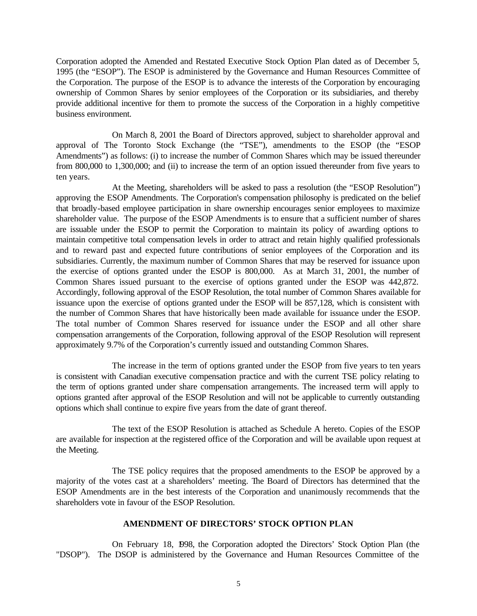Corporation adopted the Amended and Restated Executive Stock Option Plan dated as of December 5, 1995 (the "ESOP"). The ESOP is administered by the Governance and Human Resources Committee of the Corporation. The purpose of the ESOP is to advance the interests of the Corporation by encouraging ownership of Common Shares by senior employees of the Corporation or its subsidiaries, and thereby provide additional incentive for them to promote the success of the Corporation in a highly competitive business environment.

On March 8, 2001 the Board of Directors approved, subject to shareholder approval and approval of The Toronto Stock Exchange (the "TSE"), amendments to the ESOP (the "ESOP Amendments") as follows: (i) to increase the number of Common Shares which may be issued thereunder from 800,000 to 1,300,000; and (ii) to increase the term of an option issued thereunder from five years to ten years.

At the Meeting, shareholders will be asked to pass a resolution (the "ESOP Resolution") approving the ESOP Amendments. The Corporation's compensation philosophy is predicated on the belief that broadly-based employee participation in share ownership encourages senior employees to maximize shareholder value. The purpose of the ESOP Amendments is to ensure that a sufficient number of shares are issuable under the ESOP to permit the Corporation to maintain its policy of awarding options to maintain competitive total compensation levels in order to attract and retain highly qualified professionals and to reward past and expected future contributions of senior employees of the Corporation and its subsidiaries. Currently, the maximum number of Common Shares that may be reserved for issuance upon the exercise of options granted under the ESOP is 800,000. As at March 31, 2001, the number of Common Shares issued pursuant to the exercise of options granted under the ESOP was 442,872. Accordingly, following approval of the ESOP Resolution, the total number of Common Shares available for issuance upon the exercise of options granted under the ESOP will be 857,128, which is consistent with the number of Common Shares that have historically been made available for issuance under the ESOP. The total number of Common Shares reserved for issuance under the ESOP and all other share compensation arrangements of the Corporation, following approval of the ESOP Resolution will represent approximately 9.7% of the Corporation's currently issued and outstanding Common Shares.

The increase in the term of options granted under the ESOP from five years to ten years is consistent with Canadian executive compensation practice and with the current TSE policy relating to the term of options granted under share compensation arrangements. The increased term will apply to options granted after approval of the ESOP Resolution and will not be applicable to currently outstanding options which shall continue to expire five years from the date of grant thereof.

The text of the ESOP Resolution is attached as Schedule A hereto. Copies of the ESOP are available for inspection at the registered office of the Corporation and will be available upon request at the Meeting.

The TSE policy requires that the proposed amendments to the ESOP be approved by a majority of the votes cast at a shareholders' meeting. The Board of Directors has determined that the ESOP Amendments are in the best interests of the Corporation and unanimously recommends that the shareholders vote in favour of the ESOP Resolution.

## **AMENDMENT OF DIRECTORS' STOCK OPTION PLAN**

On February 18, 1998, the Corporation adopted the Directors' Stock Option Plan (the "DSOP"). The DSOP is administered by the Governance and Human Resources Committee of the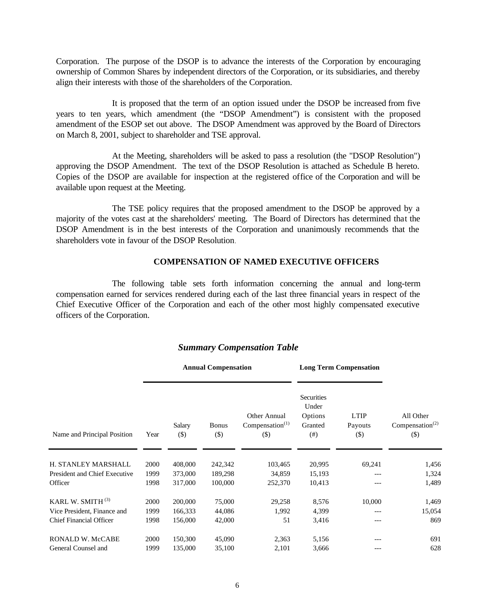Corporation. The purpose of the DSOP is to advance the interests of the Corporation by encouraging ownership of Common Shares by independent directors of the Corporation, or its subsidiaries, and thereby align their interests with those of the shareholders of the Corporation.

It is proposed that the term of an option issued under the DSOP be increased from five years to ten years, which amendment (the "DSOP Amendment") is consistent with the proposed amendment of the ESOP set out above. The DSOP Amendment was approved by the Board of Directors on March 8, 2001, subject to shareholder and TSE approval.

At the Meeting, shareholders will be asked to pass a resolution (the "DSOP Resolution") approving the DSOP Amendment. The text of the DSOP Resolution is attached as Schedule B hereto. Copies of the DSOP are available for inspection at the registered office of the Corporation and will be available upon request at the Meeting.

The TSE policy requires that the proposed amendment to the DSOP be approved by a majority of the votes cast at the shareholders' meeting. The Board of Directors has determined that the DSOP Amendment is in the best interests of the Corporation and unanimously recommends that the shareholders vote in favour of the DSOP Resolution

## **COMPENSATION OF NAMED EXECUTIVE OFFICERS**

The following table sets forth information concerning the annual and long-term compensation earned for services rendered during each of the last three financial years in respect of the Chief Executive Officer of the Corporation and each of the other most highly compensated executive officers of the Corporation.

|                                | <b>Annual Compensation</b> |                  |                        | <b>Long Term Compensation</b>                |                                                          |                                  |                                                    |
|--------------------------------|----------------------------|------------------|------------------------|----------------------------------------------|----------------------------------------------------------|----------------------------------|----------------------------------------------------|
| Name and Principal Position    | Year                       | Salary<br>$($ \$ | <b>Bonus</b><br>$(\$)$ | Other Annual<br>Compensation $(1)$<br>$($ \$ | <b>Securities</b><br>Under<br>Options<br>Granted<br>(# ) | <b>LTIP</b><br>Payouts<br>$(\$)$ | All Other<br>Compensation <sup>(2)</sup><br>$(\$)$ |
| H. STANLEY MARSHALL            | 2000                       | 408,000          | 242,342                | 103,465                                      | 20,995                                                   | 69,241                           | 1,456                                              |
| President and Chief Executive  | 1999                       | 373,000          | 189,298                | 34,859                                       | 15,193                                                   |                                  | 1,324                                              |
| Officer                        | 1998                       | 317,000          | 100,000                | 252,370                                      | 10,413                                                   |                                  | 1,489                                              |
| KARL W. SMITH <sup>(3)</sup>   | 2000                       | 200,000          | 75,000                 | 29,258                                       | 8,576                                                    | 10,000                           | 1,469                                              |
| Vice President, Finance and    | 1999                       | 166,333          | 44,086                 | 1,992                                        | 4,399                                                    | ---                              | 15,054                                             |
| <b>Chief Financial Officer</b> | 1998                       | 156,000          | 42,000                 | 51                                           | 3,416                                                    | ---                              | 869                                                |
| <b>RONALD W. McCABE</b>        | 2000                       | 150,300          | 45,090                 | 2,363                                        | 5,156                                                    |                                  | 691                                                |
| General Counsel and            | 1999                       | 135,000          | 35,100                 | 2,101                                        | 3,666                                                    |                                  | 628                                                |

## *Summary Compensation Table*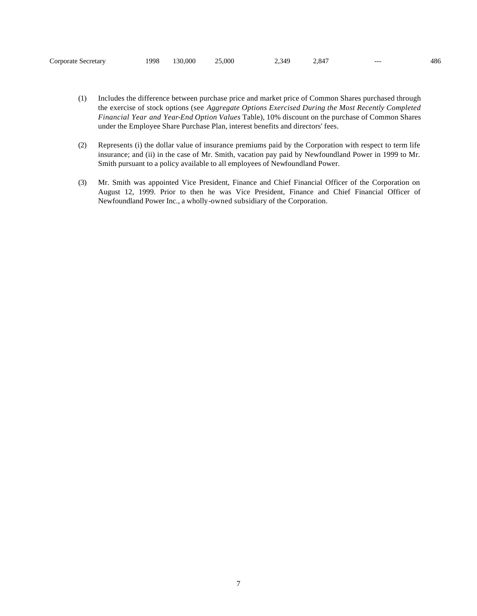| Corporate Secretary | !998 | 130,000 | 25,000 | .349<br>ر… | 847 | --- | 486 |
|---------------------|------|---------|--------|------------|-----|-----|-----|
|---------------------|------|---------|--------|------------|-----|-----|-----|

- (1) Includes the difference between purchase price and market price of Common Shares purchased through the exercise of stock options (see *Aggregate Options Exercised During the Most Recently Completed Financial Year and Year-End Option Values* Table), 10% discount on the purchase of Common Shares under the Employee Share Purchase Plan, interest benefits and directors' fees.
- (2) Represents (i) the dollar value of insurance premiums paid by the Corporation with respect to term life insurance; and (ii) in the case of Mr. Smith, vacation pay paid by Newfoundland Power in 1999 to Mr. Smith pursuant to a policy available to all employees of Newfoundland Power.
- (3) Mr. Smith was appointed Vice President, Finance and Chief Financial Officer of the Corporation on August 12, 1999. Prior to then he was Vice President, Finance and Chief Financial Officer of Newfoundland Power Inc., a wholly-owned subsidiary of the Corporation.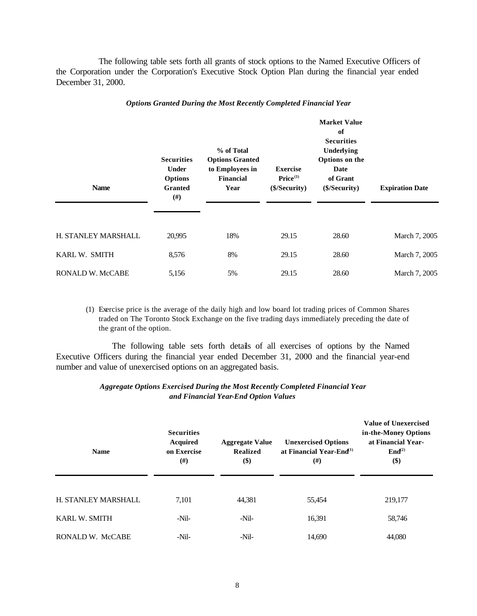The following table sets forth all grants of stock options to the Named Executive Officers of the Corporation under the Corporation's Executive Stock Option Plan during the financial year ended December 31, 2000.

| <b>Name</b>             | <b>Securities</b><br><b>Under</b><br><b>Options</b><br><b>Granted</b><br>$(\#)$ | % of Total<br><b>Options Granted</b><br>to Employees in<br><b>Financial</b><br>Year | <b>Exercise</b><br>Price <sup>(1)</sup><br>(\$/Security) | <b>Market Value</b><br>of<br><b>Securities</b><br>Underlying<br>Options on the<br>Date<br>of Grant<br>(\$/Security) | <b>Expiration Date</b> |  |
|-------------------------|---------------------------------------------------------------------------------|-------------------------------------------------------------------------------------|----------------------------------------------------------|---------------------------------------------------------------------------------------------------------------------|------------------------|--|
| H. STANLEY MARSHALL     | 20,995                                                                          | 18%                                                                                 | 29.15                                                    | 28.60                                                                                                               | March 7, 2005          |  |
| KARL W. SMITH           | 8,576                                                                           | 8%                                                                                  | 29.15                                                    | 28.60                                                                                                               | March 7, 2005          |  |
| <b>RONALD W. McCABE</b> | 5,156                                                                           | 5%                                                                                  | 29.15                                                    | 28.60                                                                                                               | March 7, 2005          |  |

#### *Options Granted During the Most Recently Completed Financial Year*

(1) Exercise price is the average of the daily high and low board lot trading prices of Common Shares traded on The Toronto Stock Exchange on the five trading days immediately preceding the date of the grant of the option.

The following table sets forth details of all exercises of options by the Named Executive Officers during the financial year ended December 31, 2000 and the financial year-end number and value of unexercised options on an aggregated basis.

## *Aggregate Options Exercised During the Most Recently Completed Financial Year and Financial Year-End Option Values*

| <b>Name</b>          | <b>Securities</b><br><b>Acquired</b><br>on Exercise<br>$(\#)$ | <b>Aggregate Value</b><br><b>Realized</b><br>\$) | <b>Unexercised Options</b><br>at Financial Year-End $^{(1)}$<br>(#) | <b>Value of Unexercised</b><br>in-the-Money Options<br>at Financial Year-<br>$\text{End}^{(2)}$<br>\$) |  |
|----------------------|---------------------------------------------------------------|--------------------------------------------------|---------------------------------------------------------------------|--------------------------------------------------------------------------------------------------------|--|
| H. STANLEY MARSHALL  | 7.101                                                         | 44,381                                           | 55,454                                                              | 219,177                                                                                                |  |
| <b>KARL W. SMITH</b> | $-Nil-$                                                       | -Nil-                                            | 16,391                                                              | 58,746                                                                                                 |  |
| RONALD W. McCABE     | $-Nil-$                                                       | $-Nil-$                                          | 14,690                                                              | 44,080                                                                                                 |  |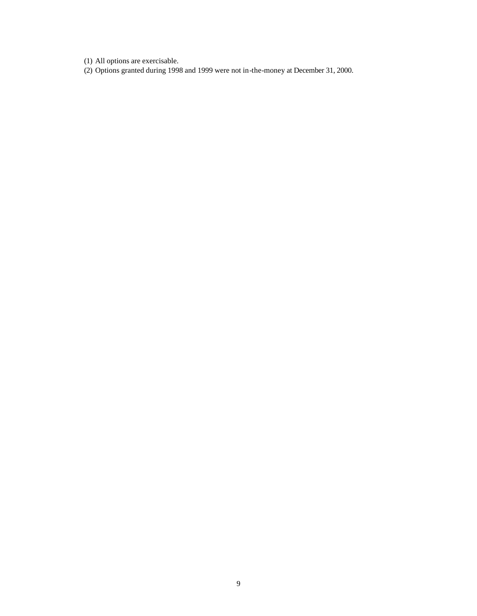(1) All options are exercisable.

(2) Options granted during 1998 and 1999 were not in-the-money at December 31, 2000.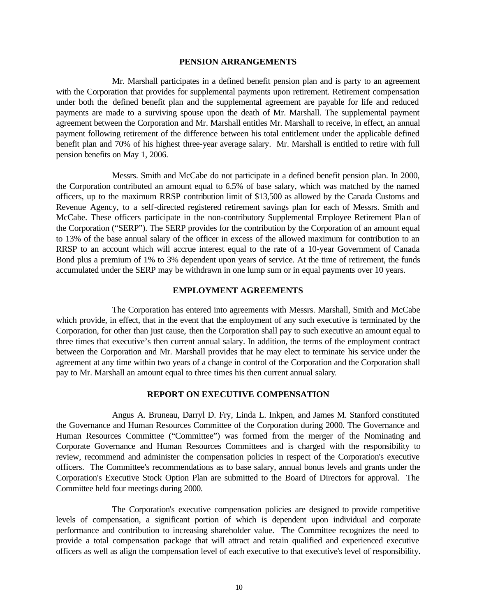#### **PENSION ARRANGEMENTS**

Mr. Marshall participates in a defined benefit pension plan and is party to an agreement with the Corporation that provides for supplemental payments upon retirement. Retirement compensation under both the defined benefit plan and the supplemental agreement are payable for life and reduced payments are made to a surviving spouse upon the death of Mr. Marshall. The supplemental payment agreement between the Corporation and Mr. Marshall entitles Mr. Marshall to receive, in effect, an annual payment following retirement of the difference between his total entitlement under the applicable defined benefit plan and 70% of his highest three-year average salary. Mr. Marshall is entitled to retire with full pension benefits on May 1, 2006.

Messrs. Smith and McCabe do not participate in a defined benefit pension plan. In 2000, the Corporation contributed an amount equal to 6.5% of base salary, which was matched by the named officers, up to the maximum RRSP contribution limit of \$13,500 as allowed by the Canada Customs and Revenue Agency, to a self-directed registered retirement savings plan for each of Messrs. Smith and McCabe. These officers participate in the non-contributory Supplemental Employee Retirement Plan of the Corporation ("SERP"). The SERP provides for the contribution by the Corporation of an amount equal to 13% of the base annual salary of the officer in excess of the allowed maximum for contribution to an RRSP to an account which will accrue interest equal to the rate of a 10-year Government of Canada Bond plus a premium of 1% to 3% dependent upon years of service. At the time of retirement, the funds accumulated under the SERP may be withdrawn in one lump sum or in equal payments over 10 years.

## **EMPLOYMENT AGREEMENTS**

The Corporation has entered into agreements with Messrs. Marshall, Smith and McCabe which provide, in effect, that in the event that the employment of any such executive is terminated by the Corporation, for other than just cause, then the Corporation shall pay to such executive an amount equal to three times that executive's then current annual salary. In addition, the terms of the employment contract between the Corporation and Mr. Marshall provides that he may elect to terminate his service under the agreement at any time within two years of a change in control of the Corporation and the Corporation shall pay to Mr. Marshall an amount equal to three times his then current annual salary.

#### **REPORT ON EXECUTIVE COMPENSATION**

Angus A. Bruneau, Darryl D. Fry, Linda L. Inkpen, and James M. Stanford constituted the Governance and Human Resources Committee of the Corporation during 2000. The Governance and Human Resources Committee ("Committee") was formed from the merger of the Nominating and Corporate Governance and Human Resources Committees and is charged with the responsibility to review, recommend and administer the compensation policies in respect of the Corporation's executive officers. The Committee's recommendations as to base salary, annual bonus levels and grants under the Corporation's Executive Stock Option Plan are submitted to the Board of Directors for approval. The Committee held four meetings during 2000.

The Corporation's executive compensation policies are designed to provide competitive levels of compensation, a significant portion of which is dependent upon individual and corporate performance and contribution to increasing shareholder value. The Committee recognizes the need to provide a total compensation package that will attract and retain qualified and experienced executive officers as well as align the compensation level of each executive to that executive's level of responsibility.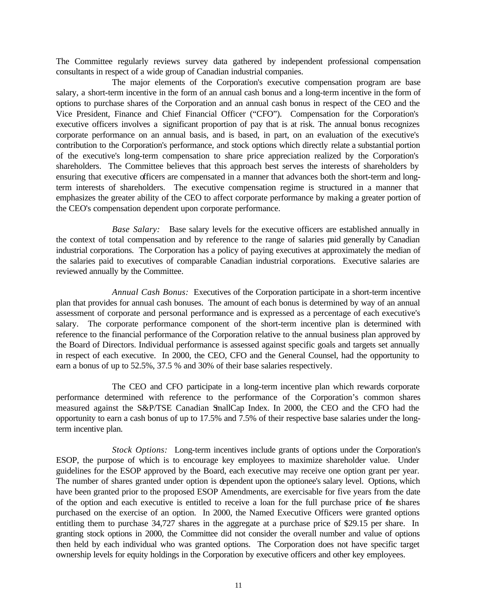The Committee regularly reviews survey data gathered by independent professional compensation consultants in respect of a wide group of Canadian industrial companies.

The major elements of the Corporation's executive compensation program are base salary, a short-term incentive in the form of an annual cash bonus and a long-term incentive in the form of options to purchase shares of the Corporation and an annual cash bonus in respect of the CEO and the Vice President, Finance and Chief Financial Officer ("CFO"). Compensation for the Corporation's executive officers involves a significant proportion of pay that is at risk. The annual bonus recognizes corporate performance on an annual basis, and is based, in part, on an evaluation of the executive's contribution to the Corporation's performance, and stock options which directly relate a substantial portion of the executive's long-term compensation to share price appreciation realized by the Corporation's shareholders. The Committee believes that this approach best serves the interests of shareholders by ensuring that executive officers are compensated in a manner that advances both the short-term and longterm interests of shareholders. The executive compensation regime is structured in a manner that emphasizes the greater ability of the CEO to affect corporate performance by making a greater portion of the CEO's compensation dependent upon corporate performance.

*Base Salary:* Base salary levels for the executive officers are established annually in the context of total compensation and by reference to the range of salaries paid generally by Canadian industrial corporations. The Corporation has a policy of paying executives at approximately the median of the salaries paid to executives of comparable Canadian industrial corporations. Executive salaries are reviewed annually by the Committee.

*Annual Cash Bonus:* Executives of the Corporation participate in a short-term incentive plan that provides for annual cash bonuses. The amount of each bonus is determined by way of an annual assessment of corporate and personal performance and is expressed as a percentage of each executive's salary. The corporate performance component of the short-term incentive plan is determined with reference to the financial performance of the Corporation relative to the annual business plan approved by the Board of Directors. Individual performance is assessed against specific goals and targets set annually in respect of each executive. In 2000, the CEO, CFO and the General Counsel, had the opportunity to earn a bonus of up to 52.5%, 37.5 % and 30% of their base salaries respectively.

The CEO and CFO participate in a long-term incentive plan which rewards corporate performance determined with reference to the performance of the Corporation's common shares measured against the S&P/TSE Canadian SmallCap Index. In 2000, the CEO and the CFO had the opportunity to earn a cash bonus of up to 17.5% and 7.5% of their respective base salaries under the longterm incentive plan.

*Stock Options:* Long-term incentives include grants of options under the Corporation's ESOP, the purpose of which is to encourage key employees to maximize shareholder value. Under guidelines for the ESOP approved by the Board, each executive may receive one option grant per year. The number of shares granted under option is dependent upon the optionee's salary level. Options, which have been granted prior to the proposed ESOP Amendments, are exercisable for five years from the date of the option and each executive is entitled to receive a loan for the full purchase price of the shares purchased on the exercise of an option. In 2000, the Named Executive Officers were granted options entitling them to purchase 34,727 shares in the aggregate at a purchase price of \$29.15 per share. In granting stock options in 2000, the Committee did not consider the overall number and value of options then held by each individual who was granted options. The Corporation does not have specific target ownership levels for equity holdings in the Corporation by executive officers and other key employees.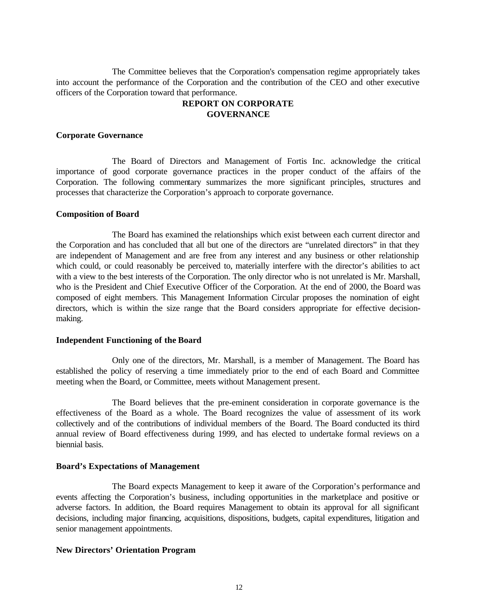The Committee believes that the Corporation's compensation regime appropriately takes into account the performance of the Corporation and the contribution of the CEO and other executive officers of the Corporation toward that performance.

# **REPORT ON CORPORATE GOVERNANCE**

## **Corporate Governance**

The Board of Directors and Management of Fortis Inc. acknowledge the critical importance of good corporate governance practices in the proper conduct of the affairs of the Corporation. The following commentary summarizes the more significant principles, structures and processes that characterize the Corporation's approach to corporate governance.

## **Composition of Board**

The Board has examined the relationships which exist between each current director and the Corporation and has concluded that all but one of the directors are "unrelated directors" in that they are independent of Management and are free from any interest and any business or other relationship which could, or could reasonably be perceived to, materially interfere with the director's abilities to act with a view to the best interests of the Corporation. The only director who is not unrelated is Mr. Marshall, who is the President and Chief Executive Officer of the Corporation. At the end of 2000, the Board was composed of eight members. This Management Information Circular proposes the nomination of eight directors, which is within the size range that the Board considers appropriate for effective decisionmaking.

## **Independent Functioning of the Board**

Only one of the directors, Mr. Marshall, is a member of Management. The Board has established the policy of reserving a time immediately prior to the end of each Board and Committee meeting when the Board, or Committee, meets without Management present.

The Board believes that the pre-eminent consideration in corporate governance is the effectiveness of the Board as a whole. The Board recognizes the value of assessment of its work collectively and of the contributions of individual members of the Board. The Board conducted its third annual review of Board effectiveness during 1999, and has elected to undertake formal reviews on a biennial basis.

## **Board's Expectations of Management**

The Board expects Management to keep it aware of the Corporation's performance and events affecting the Corporation's business, including opportunities in the marketplace and positive or adverse factors. In addition, the Board requires Management to obtain its approval for all significant decisions, including major financing, acquisitions, dispositions, budgets, capital expenditures, litigation and senior management appointments.

## **New Directors' Orientation Program**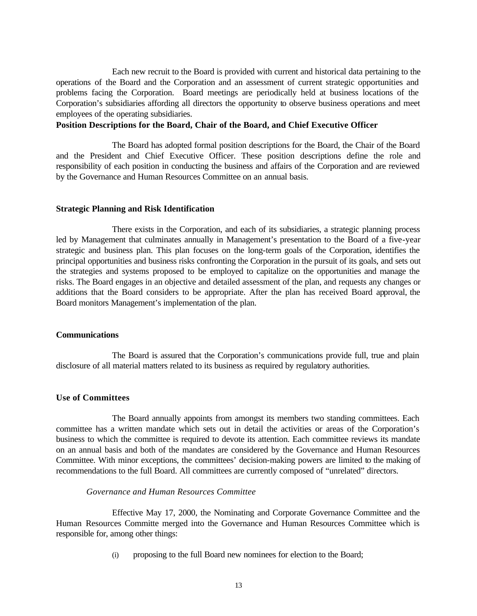Each new recruit to the Board is provided with current and historical data pertaining to the operations of the Board and the Corporation and an assessment of current strategic opportunities and problems facing the Corporation. Board meetings are periodically held at business locations of the Corporation's subsidiaries affording all directors the opportunity to observe business operations and meet employees of the operating subsidiaries.

# **Position Descriptions for the Board, Chair of the Board, and Chief Executive Officer**

The Board has adopted formal position descriptions for the Board, the Chair of the Board and the President and Chief Executive Officer. These position descriptions define the role and responsibility of each position in conducting the business and affairs of the Corporation and are reviewed by the Governance and Human Resources Committee on an annual basis.

#### **Strategic Planning and Risk Identification**

There exists in the Corporation, and each of its subsidiaries, a strategic planning process led by Management that culminates annually in Management's presentation to the Board of a five-year strategic and business plan. This plan focuses on the long-term goals of the Corporation, identifies the principal opportunities and business risks confronting the Corporation in the pursuit of its goals, and sets out the strategies and systems proposed to be employed to capitalize on the opportunities and manage the risks. The Board engages in an objective and detailed assessment of the plan, and requests any changes or additions that the Board considers to be appropriate. After the plan has received Board approval, the Board monitors Management's implementation of the plan.

#### **Communications**

The Board is assured that the Corporation's communications provide full, true and plain disclosure of all material matters related to its business as required by regulatory authorities.

# **Use of Committees**

The Board annually appoints from amongst its members two standing committees. Each committee has a written mandate which sets out in detail the activities or areas of the Corporation's business to which the committee is required to devote its attention. Each committee reviews its mandate on an annual basis and both of the mandates are considered by the Governance and Human Resources Committee. With minor exceptions, the committees' decision-making powers are limited to the making of recommendations to the full Board. All committees are currently composed of "unrelated" directors.

## *Governance and Human Resources Committee*

Effective May 17, 2000, the Nominating and Corporate Governance Committee and the Human Resources Committe merged into the Governance and Human Resources Committee which is responsible for, among other things:

(i) proposing to the full Board new nominees for election to the Board;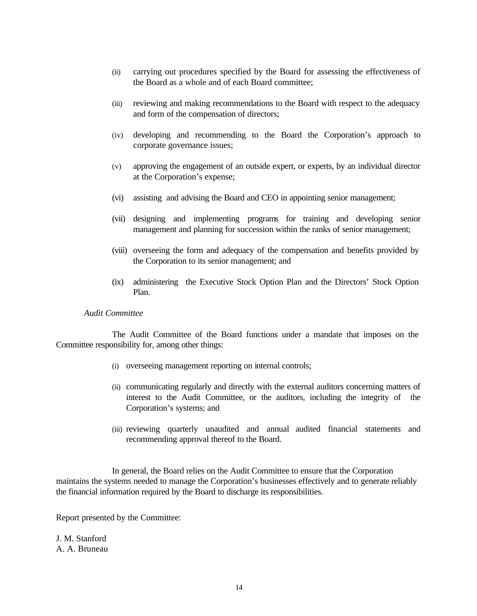- (ii) carrying out procedures specified by the Board for assessing the effectiveness of the Board as a whole and of each Board committee;
- (iii) reviewing and making recommendations to the Board with respect to the adequacy and form of the compensation of directors;
- (iv) developing and recommending to the Board the Corporation's approach to corporate governance issues;
- (v) approving the engagement of an outside expert, or experts, by an individual director at the Corporation's expense;
- (vi) assisting and advising the Board and CEO in appointing senior management;
- (vii) designing and implementing programs for training and developing senior management and planning for succession within the ranks of senior management;
- (viii) overseeing the form and adequacy of the compensation and benefits provided by the Corporation to its senior management; and
- (ix) administering the Executive Stock Option Plan and the Directors' Stock Option Plan.

## *Audit Committee*

The Audit Committee of the Board functions under a mandate that imposes on the Committee responsibility for, among other things:

- (i) overseeing management reporting on internal controls;
- (ii) communicating regularly and directly with the external auditors concerning matters of interest to the Audit Committee, or the auditors, including the integrity of the Corporation's systems; and
- (iii) reviewing quarterly unaudited and annual audited financial statements and recommending approval thereof to the Board.

In general, the Board relies on the Audit Committee to ensure that the Corporation maintains the systems needed to manage the Corporation's businesses effectively and to generate reliably the financial information required by the Board to discharge its responsibilities.

Report presented by the Committee:

J. M. Stanford A. A. Bruneau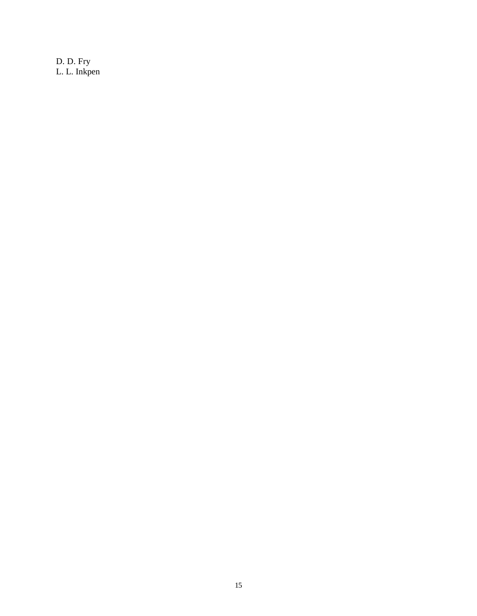D. D. Fry L. L. Inkpen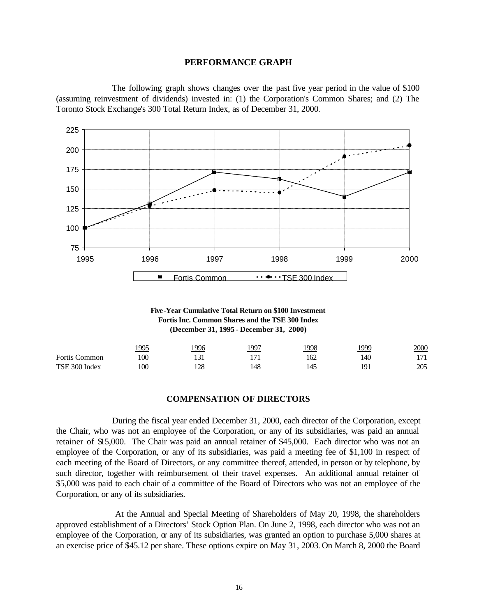### **PERFORMANCE GRAPH**

The following graph shows changes over the past five year period in the value of \$100 (assuming reinvestment of dividends) invested in: (1) the Corporation's Common Shares; and (2) The Toronto Stock Exchange's 300 Total Return Index, as of December 31, 2000.



**Five-Year Cumulative Total Return on \$100 Investment Fortis Inc. Common Shares and the TSE 300 Index (December 31, 1995 - December 31, 2000)**

|                      | 1995 | 996 | 1997   | 1998 | <u> 1999</u> | 2000 |
|----------------------|------|-----|--------|------|--------------|------|
| <b>Fortis Common</b> | 100  |     | י רי ו | 162  | 140          | 171  |
| TSE 300 Index        | 100  | 128 | 48     |      | 191          | 205  |

## **COMPENSATION OF DIRECTORS**

During the fiscal year ended December 31, 2000, each director of the Corporation, except the Chair, who was not an employee of the Corporation, or any of its subsidiaries, was paid an annual retainer of \$15,000. The Chair was paid an annual retainer of \$45,000. Each director who was not an employee of the Corporation, or any of its subsidiaries, was paid a meeting fee of \$1,100 in respect of each meeting of the Board of Directors, or any committee thereof, attended, in person or by telephone, by such director, together with reimbursement of their travel expenses. An additional annual retainer of \$5,000 was paid to each chair of a committee of the Board of Directors who was not an employee of the Corporation, or any of its subsidiaries.

 At the Annual and Special Meeting of Shareholders of May 20, 1998, the shareholders approved establishment of a Directors' Stock Option Plan. On June 2, 1998, each director who was not an employee of the Corporation,  $\alpha$  any of its subsidiaries, was granted an option to purchase 5,000 shares at an exercise price of \$45.12 per share. These options expire on May 31, 2003. On March 8, 2000 the Board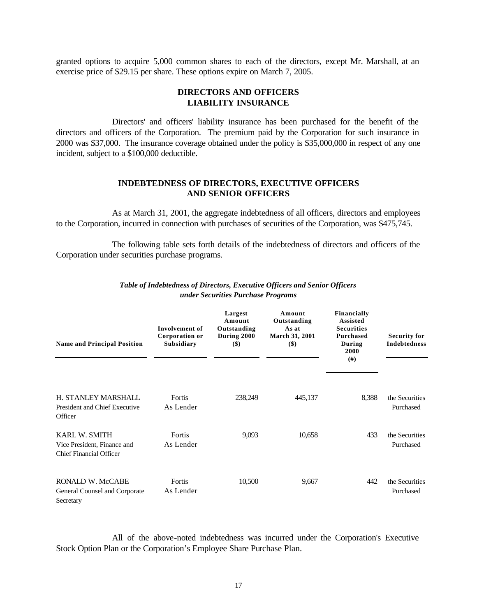granted options to acquire 5,000 common shares to each of the directors, except Mr. Marshall, at an exercise price of \$29.15 per share. These options expire on March 7, 2005.

## **DIRECTORS AND OFFICERS LIABILITY INSURANCE**

Directors' and officers' liability insurance has been purchased for the benefit of the directors and officers of the Corporation. The premium paid by the Corporation for such insurance in 2000 was \$37,000. The insurance coverage obtained under the policy is \$35,000,000 in respect of any one incident, subject to a \$100,000 deductible.

## **INDEBTEDNESS OF DIRECTORS, EXECUTIVE OFFICERS AND SENIOR OFFICERS**

As at March 31, 2001, the aggregate indebtedness of all officers, directors and employees to the Corporation, incurred in connection with purchases of securities of the Corporation, was \$475,745.

The following table sets forth details of the indebtedness of directors and officers of the Corporation under securities purchase programs.

| <b>Name and Principal Position</b>                                             | Involvement of<br>Corporation or<br>Subsidiary | Largest<br>Amount<br>Outstanding<br>During 2000<br>$($)$ | Amount<br>Outstanding<br>As at<br>March 31, 2001<br>$($)$ | Financially<br><b>Assisted</b><br><b>Securities</b><br><b>Purchased</b><br>During<br>2000<br>(# ) | <b>Security for</b><br><b>Indebtedness</b> |
|--------------------------------------------------------------------------------|------------------------------------------------|----------------------------------------------------------|-----------------------------------------------------------|---------------------------------------------------------------------------------------------------|--------------------------------------------|
| H. STANLEY MARSHALL<br>President and Chief Executive<br>Officer                | Fortis<br>As Lender                            | 238,249                                                  | 445,137                                                   | 8,388                                                                                             | the Securities<br>Purchased                |
| <b>KARL W. SMITH</b><br>Vice President, Finance and<br>Chief Financial Officer | Fortis<br>As Lender                            | 9,093                                                    | 10,658                                                    | 433                                                                                               | the Securities<br>Purchased                |
| RONALD W. McCABE<br>General Counsel and Corporate<br>Secretary                 | Fortis<br>As Lender                            | 10,500                                                   | 9,667                                                     | 442                                                                                               | the Securities<br>Purchased                |

## *Table of Indebtedness of Directors, Executive Officers and Senior Officers under Securities Purchase Programs*

All of the above-noted indebtedness was incurred under the Corporation's Executive Stock Option Plan or the Corporation's Employee Share Purchase Plan.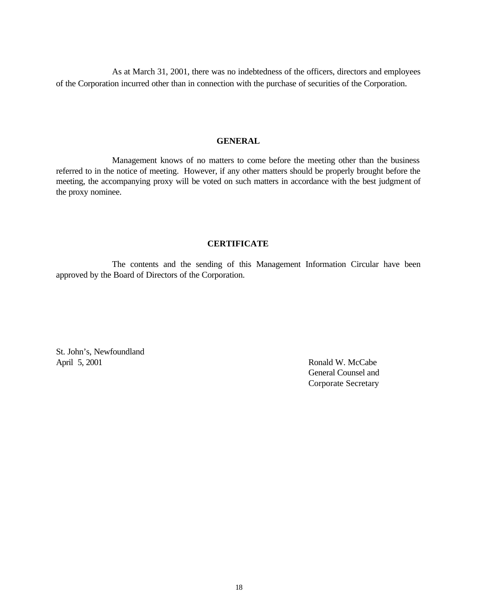As at March 31, 2001, there was no indebtedness of the officers, directors and employees of the Corporation incurred other than in connection with the purchase of securities of the Corporation.

## **GENERAL**

Management knows of no matters to come before the meeting other than the business referred to in the notice of meeting. However, if any other matters should be properly brought before the meeting, the accompanying proxy will be voted on such matters in accordance with the best judgment of the proxy nominee.

# **CERTIFICATE**

The contents and the sending of this Management Information Circular have been approved by the Board of Directors of the Corporation.

St. John's, Newfoundland April 5, 2001 Ronald W. McCabe

General Counsel and Corporate Secretary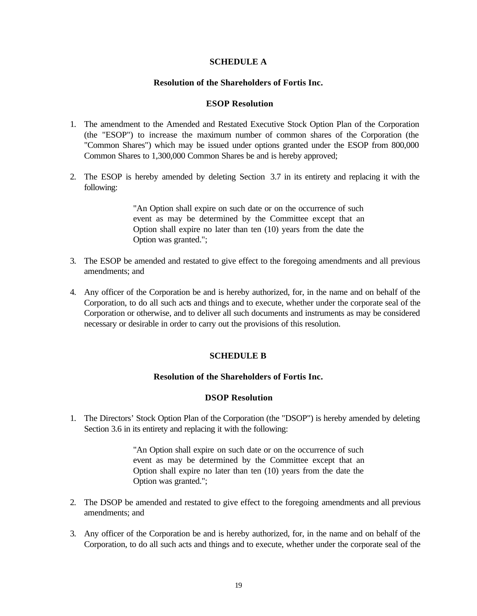# **SCHEDULE A**

## **Resolution of the Shareholders of Fortis Inc.**

## **ESOP Resolution**

- 1. The amendment to the Amended and Restated Executive Stock Option Plan of the Corporation (the "ESOP") to increase the maximum number of common shares of the Corporation (the "Common Shares") which may be issued under options granted under the ESOP from 800,000 Common Shares to 1,300,000 Common Shares be and is hereby approved;
- 2. The ESOP is hereby amended by deleting Section 3.7 in its entirety and replacing it with the following:

"An Option shall expire on such date or on the occurrence of such event as may be determined by the Committee except that an Option shall expire no later than ten (10) years from the date the Option was granted.";

- 3. The ESOP be amended and restated to give effect to the foregoing amendments and all previous amendments; and
- 4. Any officer of the Corporation be and is hereby authorized, for, in the name and on behalf of the Corporation, to do all such acts and things and to execute, whether under the corporate seal of the Corporation or otherwise, and to deliver all such documents and instruments as may be considered necessary or desirable in order to carry out the provisions of this resolution.

## **SCHEDULE B**

## **Resolution of the Shareholders of Fortis Inc.**

## **DSOP Resolution**

1. The Directors' Stock Option Plan of the Corporation (the "DSOP") is hereby amended by deleting Section 3.6 in its entirety and replacing it with the following:

> "An Option shall expire on such date or on the occurrence of such event as may be determined by the Committee except that an Option shall expire no later than ten (10) years from the date the Option was granted.";

- 2. The DSOP be amended and restated to give effect to the foregoing amendments and all previous amendments; and
- 3. Any officer of the Corporation be and is hereby authorized, for, in the name and on behalf of the Corporation, to do all such acts and things and to execute, whether under the corporate seal of the